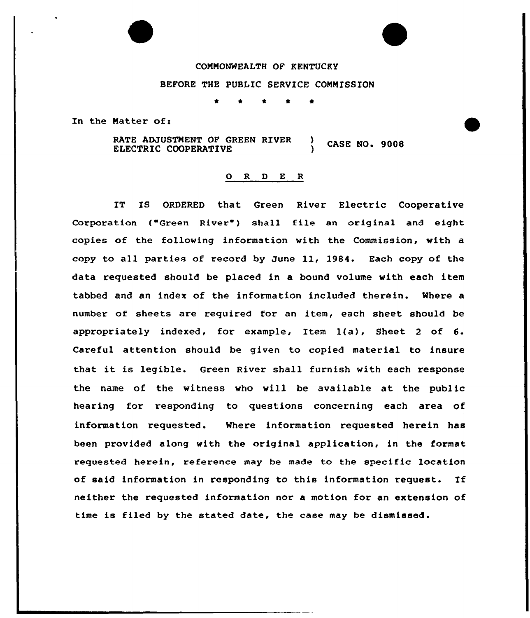### COMMONWEALTH OF KENTUCKY

### BEFORE THE PUBLIC SERVICE CONMISSION

\* \* \* \* 4r

In the Matter of:

RATE ADJUSTNENT OF GREEN RIVER RATE ADJUSTMENT OF GREEN RIVER (ASE NO. 9008

### 0 R <sup>D</sup> E <sup>R</sup>

IT IS ORDERED that Green River Electric Cooperative Corporation ("Green River") shall file an original and eight copies of the following information with the Commission, with a copy to all parties of record by June ll, 1984. Each copy of the data requested should be placed in a bound volume with each item tabbed and an index of the information included therein. Where a number of sheets are required for an item, each sheet should be appropriately indexed, for example, Item 1(a), Sheet <sup>2</sup> of 6. Careful attention should be given to copied material to insure that it is legible. Green River shall furnish with each response the name of the witness who will be available at the public hearing for responding to questions concerning each area of information requested. Where information requested herein has been provided along with the original application, in the format requested herein, reference may be made to the specific location of said information in responding to this information request. If neither the requested information nor a motion for an extension of time is filed by the stated date, the case may be dismissed.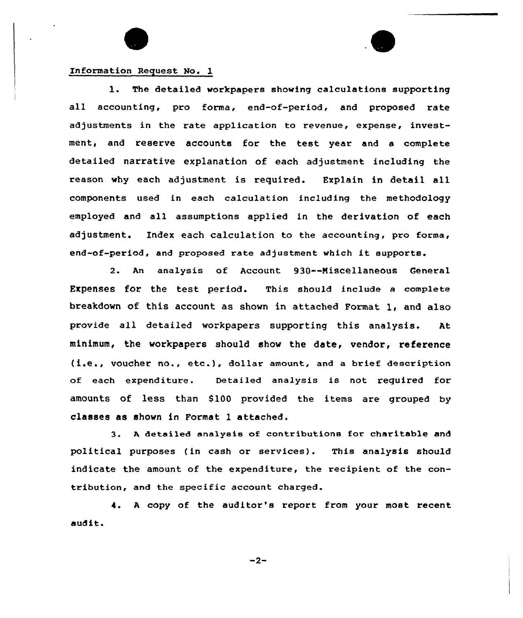

### Information Request No. 1

1. The detailed workpapers showing calculations supporting all accounting, pro forma, end-of-period, and proposed rate adjustments in the rate application to revenue, expense, investment, and reserve accounts for the test year and a complete detailed narrative explanation of each adjustment including the reason why each adjustment is required. Explain in detail all components used in each calculation including the methodology employed and all assumptions applied in the derivation of each adjustment. Index each calculation to the accounting, pro forma, end-of-period, and proposed rate adjustment which it supports.

2. An analysis of Account 930--Niscellaneous Ceneral Expenses for the test period. This should include a complete breakdown of this account as shown in attached Format 1, and also provide all detailed workpapers supporting this analysis. At minimum, the workpapers should show the date, vendor, reference (i.e., voucher no., etc.), dollar amount, and <sup>a</sup> brief description of each expenditure. Detailed analysis is not required for amounts of less than S100 provided the items are grouped by classes as shown in Format 1 attached.

3. <sup>A</sup> detailed analysis of contributions for charitable and political purposes (in cash or services). This analysis should indicate the amount of the expenditure, the recipient of the contribution, and the specific account charged.

4. <sup>A</sup> copy of the auditor's report from your most recent audit.

 $-2-$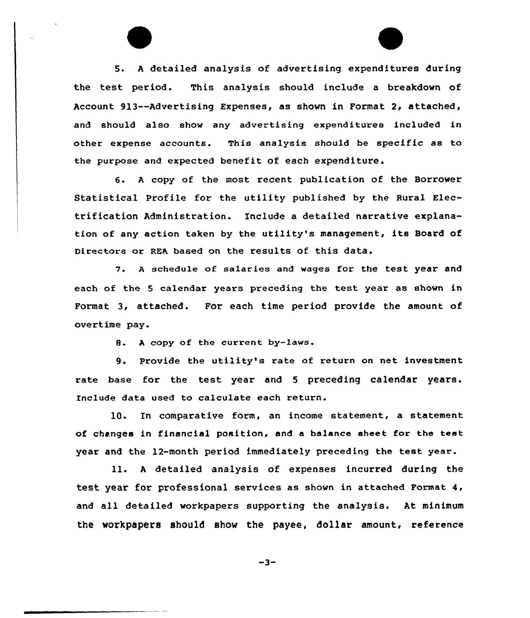5. <sup>A</sup> detailed analysis of advertising expenditures during the test period. This analysis should include a breakdown of Account 913--Advertising Expenses, as shown in Format 2, attached, and should also show any advertising expenditures included in other expense accounts. This analysis should be specific as to the purpose and expected benefit of each expenditure.

6. <sup>A</sup> copy of the most recent publication of the Borrower Statistical Profile for the utility published by the Rural Electrification Administration. Include a detailed narrative explanation of any action taken by the utility's management, its Board of Directors or REA based on the results of this data.

7. <sup>A</sup> schedule of salaries and wages for the test year and each of the <sup>5</sup> calendar years preceding the test year as shown in Format 3, attached. For each time period provide the amount of overtime pay.

8. <sup>A</sup> copy of the current by-laws.

9. Provide the utility's rate of return on net investment rate base for the test year and <sup>5</sup> preceding calendar years. Include data used to calculate each return.

10. In comparative form, an income statement, a statement of changes in financial position, and a balance sheet for the test year and the 12-month period immediately preceding the test year.

ll. <sup>A</sup> detailed analysis of expenses incurred during the test year for professional services as shown in attached Format 4, and all detailed workpapers supporting the analysis. At minimum the workpapers should show the payee, dollar amount, reference

 $-3-$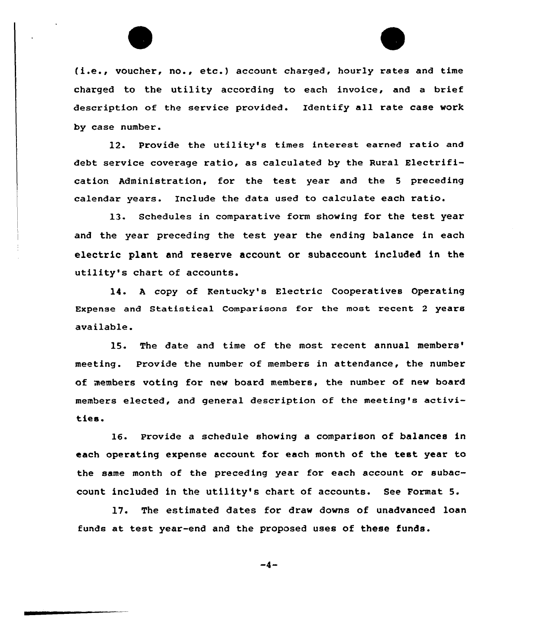



(i.e., voucher, no., etc.) account charged, hourly rates and time charged to the utility according to each invoice, and a brief description of the service provided. Identify all rate case work by case number.

12. Provide the utility's times interest earned ratio and debt service coverage ratio, as calculated by the Rural Electrification Administration, for the test year and the <sup>5</sup> preceding calendar years. Include the data used to calculate each ratio.

13. Schedules in comparative form showing for the test year and the year preceding the test year the ending balance in each electric plant and reserve account or subaccount included in the utility's chart of accounts.

14. <sup>A</sup> copy of Kentucky's Electric Cooperatives Operating Expense and Statistical Comparisons for the most recent <sup>2</sup> years available.

15. The date and time of the most recent annual meeting. Provide the number of members in attendance, the number of members voting for new board members, the number of new board members elected, and general description of the meeting's activities.

16. provide a schedule showing a comparison of balances in each operating expense account for each month of the test year to the same month of the preceding year for each account or subaccount included in the utility's chart of accounts. See Format 5.

17. The estimated dates for draw downs of unadvanced loan funds at test year-end and the proposed uses of these funds.

 $-4-$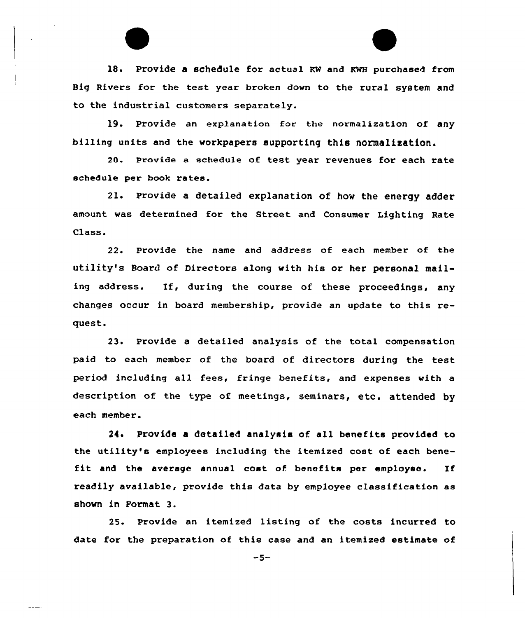18. Provide a schedule for actual RW and KWH purchased from Big Rivers for the test year broken down to the rural system and to the industrial customers separately.

19. Provide an explanation for the normalization of any billing units and the workpapers supporting this normalization.

20. Provide a schedule of test year revenues for each rate schedule per book rates.

2l. Provide <sup>a</sup> detailed explanation of how the energy adder amount was determined for the Street and Consumer Lighting Rate Class.

22. Provide the name and address of each member of the utility's Board of Directors along with his or her personal mailing address. If, during the course of these proceedings, any changes occur in board membership, provide an update to this request.

23. Provide a detailed analysis of the total compensation paid to each member of the board of directors during the test period including all fees, fringe benefits, and expenses with a description of the type of meetings, seminars, etc. attended by each member.

24. Provide a detailed analysis of all benefits provided to the utility's employees including the itemized cost of each benefit and the average annual cost of benefits per employee. If readily available, provide this data by employee classification as shown in Format 3.

25. Provide an itemized listing of the costs incurred to date for the preparation of this case and an itemized estimate of

 $-5-$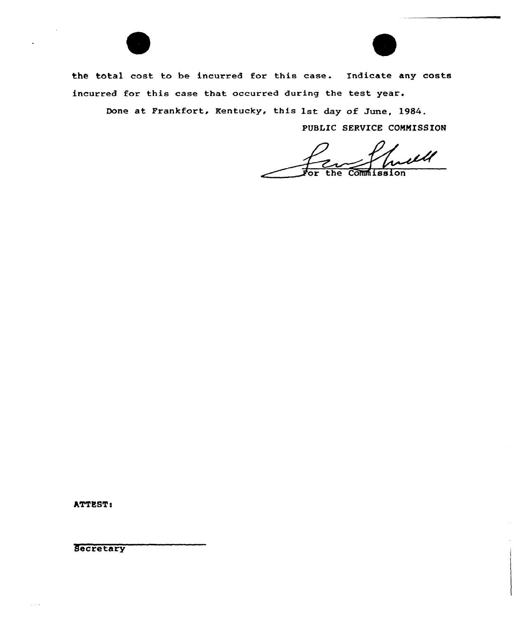

Done at Frankfort, Kentucky, this 1st day of June, 1984.

PUBLIC SERVICE CONNISSION

iЩ Commission

ATTEST:

**Secretary** 

 $\alpha$  ,  $\alpha$  ,  $\alpha$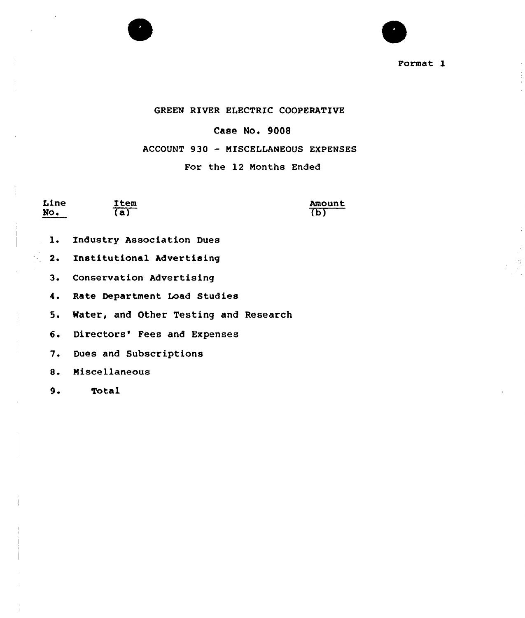

Format 1

### GREEN RIVER ELECTRIC COOPERATIVE

### Case No. 9008

### ACCOUNT 930 - MISCELLANEOUS EXPENSES

### For the 12 Months Ended

Line No.

 $\mathcal{F}_{\mathcal{L}}$ 

**Item**  $\overline{a}$ 

Amount का

- Industry Association Dues  $1.$
- 2. Institutional Advertising
- 3. Conservation Advertising
- 4. Rate Department Load Studies
- 5. Water, and Other Testing and Research
- 6. Directors' Fees and Expenses
- $7.$ Dues and Subscriptions
- $8.$ Miscellaneous
- $9.$ Total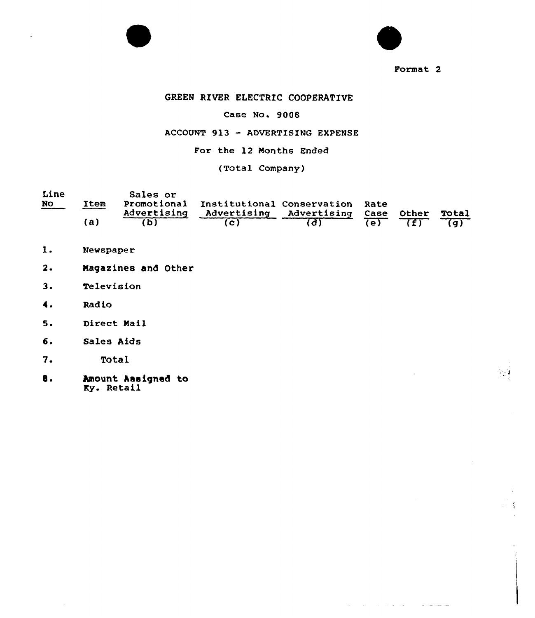



### Format<sub>2</sub>

المتحصل والمرادين والمناور والمناور

### GREEN RIVER ELECTRIC COOPERATIVE

### Case No. 9008

### ACCOVNT 913 — ADVERTISING EXPENSE

### For the 12 Months Ended

### (Total Company)

| Line |      | Sales or    |                                             |                              |                    |  |
|------|------|-------------|---------------------------------------------|------------------------------|--------------------|--|
| No   | Item | Advertising | Promotional Institutional Conservation Rate | Advertising Advertising Case | <b>Other Total</b> |  |
|      | (a)  |             |                                             |                              | $\overline{f}$     |  |

- $1.$ Newspaper
- $2.$ Magazines and Other
- $3.$ **Television**
- 4. Rad io
- 5 ~ Direct Mail
- 6. Sales Aids
- 7 ~ Total
- 8. Amount Assigned to rmount num<br>Ky. Retail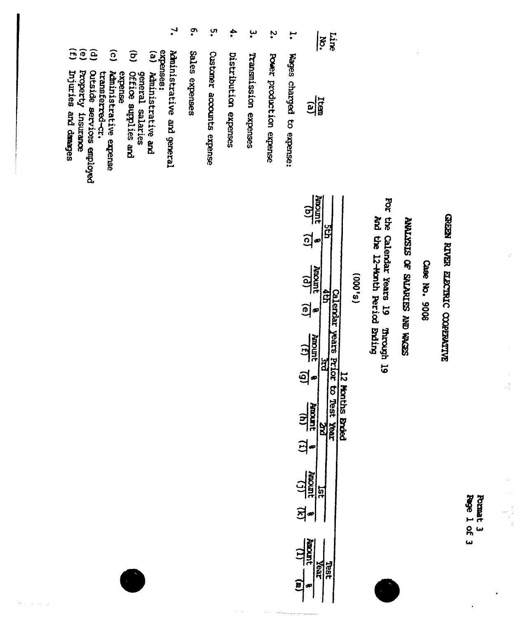Format 3<br>Page 1 of 3

 $\begin{array}{c} \frac{1}{2} \\ \frac{1}{2} \\ \frac{1}{2} \end{array}$ 

### GREEN RIVER ELECTRIC COOPENITVE

Case No. 9008

### ANALYSIS OF SALARIES AND WACES

For the Calendar Years 19 And the 12-Honth Period Brding **Prrough 19** 

 $(s, 000)$ 

| $\frac{10}{2}$      |  |  |
|---------------------|--|--|
| <u>ටු</u>           |  |  |
| $\frac{(p)}{10000}$ |  |  |
| စျ                  |  |  |
| $\frac{121}{1000}$  |  |  |
| <u>ן</u>            |  |  |
| <b>HADREE</b>       |  |  |
| Ξ                   |  |  |
| $\frac{1}{2}$       |  |  |
| 의<br>-              |  |  |
| <b>Jurices</b>      |  |  |
|                     |  |  |

 $\ddot{\cdot}$ H Power production expense Wages charged to expense:

Line  $|\tilde{\mathbf{e}}|$ 

 $\frac{1}{2}$ 

- ڛ Transmission expenses
- $\ddot{\bullet}$ Distribution expenses
- **ب**<br>• Custaner accounts expense
- <u>ှ</u> Sales expenses
- $\mathbf{L}$  $\mathbf{e}$ expenses: Aministrative and general Administrative and
- $\widehat{\sigma}$ general salaries
- Office supplies and expense<br>Administrative expense
- $\widehat{\Omega}$ transferred-cr.
- $\widehat{e}$ Outside services employed
- **FE** Property insurance
- 
- Dijuries and danages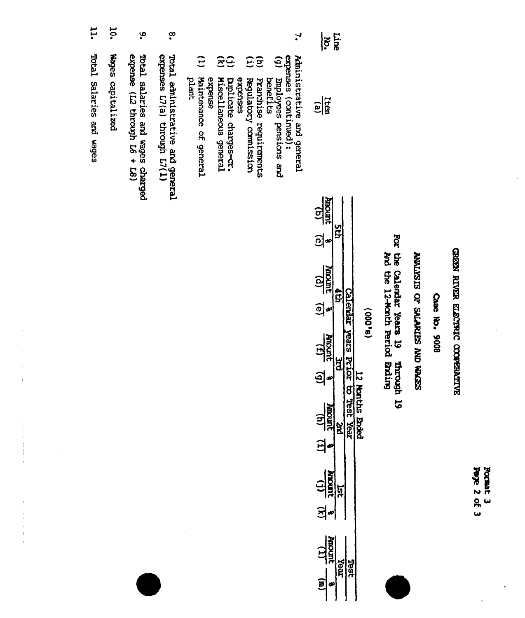| <b>Spyc</b><br>N | <b>PERSON</b> |
|------------------|---------------|
| ጹ                |               |
| ٠                |               |

## GREEN RIVER ELECTRIC COOPERATIVE

### Саве №. 9008

### SECTER ON SHANDING JO SISTEMY

# For the Calendar Years 19 mroupl 19<br>
and the 12-Month Feriod Brding

| L  |
|----|
|    |
|    |
|    |
| go |
| ÷  |
| œ  |
| шò |
|    |
|    |

| $\frac{1}{2}$<br>$\frac{1}{2}$    |        |   |  |
|-----------------------------------|--------|---|--|
| $rac{1}{16}$                      |        |   |  |
| $\frac{19}{4000}$<br><u>ଗ୍ରୁ</u>  |        |   |  |
| $\frac{(p)}{1000M}$<br>$\vec{E}$  |        |   |  |
| $\frac{131}{100000}$<br><u>මු</u> |        |   |  |
| ]<br>1종<br>Ξ<br>ŀ                 |        |   |  |
| <b>Algerit</b><br>Ē               |        |   |  |
| $\tilde{\cdot}$                   | r<br>P | ā |  |

- ي  $\boldsymbol{\mathsf{S}}$  $\mathbf{r}$ Total administrative and general<br>expenses L7(a) through L7(1)  $\widetilde{\Xi}$ expense (L2 through L6 + L8)  $\ddot{c}$ expenses (continued):<br>(g) Employees pensions and<br>benefits  $\widehat{E}$  $\widehat{\Xi}$ Total salaries and wages charged Administrative and general plant Maintenance of general expense **Miscellaneous** general expenses puplicate charges-cr. Regulatory comitssion Franchise requirements
	-
- 10. Wages capitalized
- i1. Total Salaries and wages

Î.

 $\hat{1}$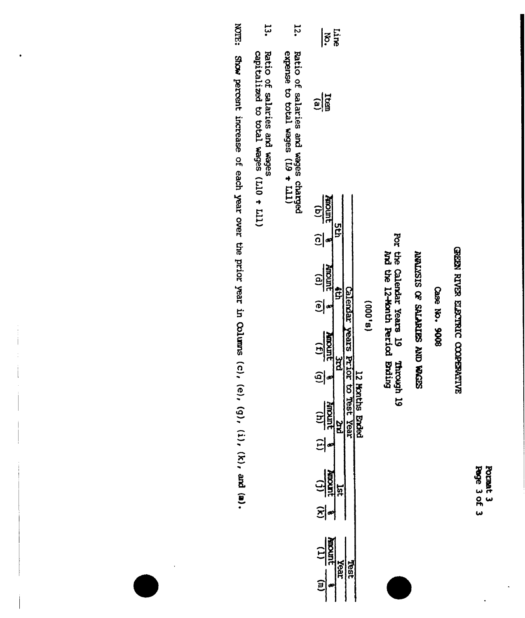Pormat 3<br>Page 3 of 3

## GREEN RIVER ELECTRIC CODERATIVE

Case No. 9008

### SUDDER ON SATERIES JO SISSITENY

For the Calendar Years 19 Through 19<br>And the 12-Month Period Brding

| ć<br>÷ |
|--------|
| é<br>Ξ |
| ć      |
|        |
| m      |
|        |
|        |
|        |

| $\overline{\mathbf{z}}$                             |          |                       |                   |
|-----------------------------------------------------|----------|-----------------------|-------------------|
| $\frac{1}{2}$                                       |          |                       |                   |
| $\frac{\sin \theta}{\sin \theta}$<br>$\widehat{c} $ | ព្វ<br>ဌ |                       |                   |
| $\frac{(p)}{1000R}$<br>$\widehat{\mathbf{E}}$       |          |                       |                   |
| $\frac{1}{12}$<br>මු                                | ă        |                       |                   |
| $\frac{(4)}{10000}$<br>의                            | à        | ო<br>ე<br>real<br>Bai | 닳<br><b>Ender</b> |
| $\frac{1}{\sqrt{2}}$<br>$\Xi$                       | ξī       |                       |                   |
| <b>MOOT</b><br>$\overline{1}$                       | kear     |                       |                   |

- 12. Ratio of salaries and wages charged<br>expense to total wages  $(1.9 + 1.11)$
- بن<br>پ Ratio of salaries and wages<br>capitalized to total wages  $(L10 + L11)$
- **KOTE:** Show percent increase of each year over the prior year in Columns (c), (e), (9), (i), (k), and (a).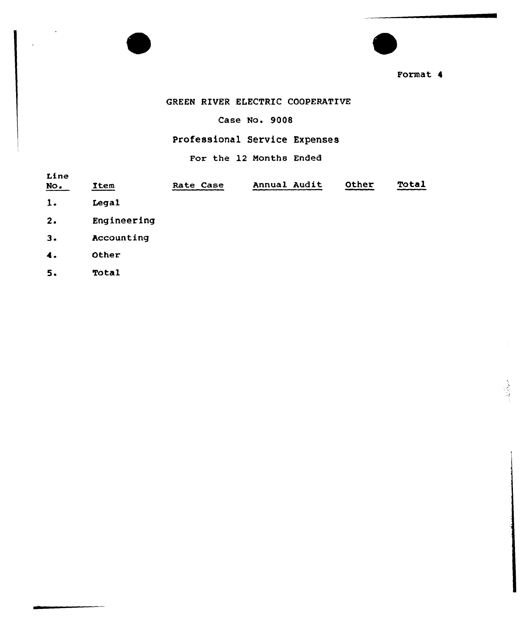

Format 4

### GREEN RIVER ELECTRIC COOPERATIVE

Case No. 9008

### professional Service Expenses

For the 12 Months Ended

| Line<br>$\underline{\text{NO}}$ . | Item        | Rate Case | Annual Audit | Other | Total |
|-----------------------------------|-------------|-----------|--------------|-------|-------|
| 1.                                | Legal       |           |              |       |       |
| 2.                                | Engineering |           |              |       |       |
| 3.                                | Accounting  |           |              |       |       |
| $\ddot{\bullet}$ .                | Other       |           |              |       |       |
| 5.                                | Total       |           |              |       |       |
|                                   |             |           |              |       |       |